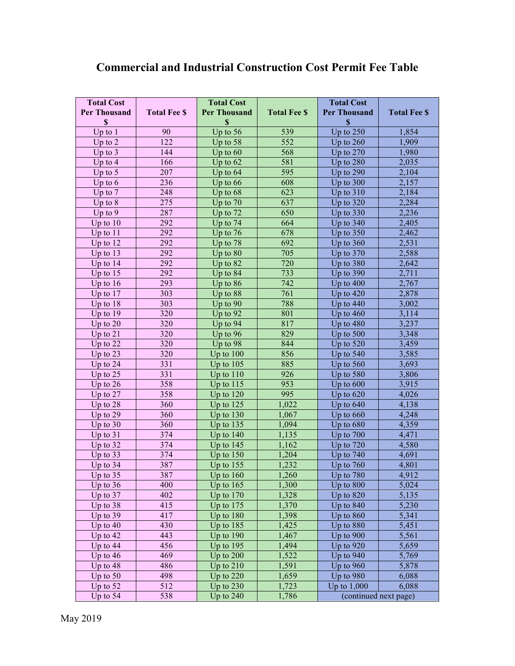## **Commercial and Industrial Construction Cost Permit Fee Table**

| <b>Total Cost</b><br><b>Per Thousand</b> | <b>Total Fee \$</b> | <b>Total Cost</b><br><b>Per Thousand</b> | <b>Total Fee \$</b> | <b>Total Cost</b><br><b>Per Thousand</b> | <b>Total Fee \$</b> |
|------------------------------------------|---------------------|------------------------------------------|---------------------|------------------------------------------|---------------------|
| \$<br>Up to $1$                          | 90                  | $\boldsymbol{\$}$<br>Up to 56            | 539                 | $\boldsymbol{\mathsf{S}}$<br>Up to 250   | 1,854               |
| Up to $2$                                | 122                 | Up to $58$                               | 552                 | Up to $260$                              | 1,909               |
| Up to $3$                                | 144                 | Up to $60$                               | 568                 | Up to $270$                              | 1,980               |
| Up to $4$                                | 166                 | Up to $62$                               | 581                 | Up to $280$                              | 2,035               |
| Up to $5$                                | 207                 | Up to $64$                               | 595                 | Up to $290$                              | 2,104               |
| Up to $6$                                | 236                 | Up to $66$                               | 608                 | Up to $300$                              | 2,157               |
| Up to $7$                                | 248                 | Up to $68$                               | 623                 | Up to $310$                              | 2,184               |
| Up to $8$                                | 275                 | Up to $70$                               | 637                 | Up to $320$                              | 2,284               |
| Up to $9$                                | 287                 | Up to 72                                 | 650                 | Up to $330$                              | 2,236               |
| Up to $10$                               | 292                 | Up to 74                                 | 664                 | Up to $340$                              | 2,405               |
| Up to $11$                               | 292                 | Up to $76$                               | 678                 | Up to $350$                              | 2,462               |
| Up to $12$                               | 292                 | Up to 78                                 | 692                 | Up to $360$                              | 2,531               |
| Up to $13$                               | 292                 | Up to $80$                               | 705                 | Up to $370$                              | 2,588               |
| Up to $14$                               | 292                 | Up to $82$                               | 720                 | Up to $380$                              | 2,642               |
| Up to $15$                               | 292                 | Up to 84                                 | 733                 | Up to $390$                              | 2,711               |
| Up to $16$                               | 293                 | Up to $86$                               | 742                 | Up to $400$                              | 2,767               |
| Up to $17$                               | 303                 | Up to 88                                 | 761                 | Up to $420$                              | 2,878               |
| Up to $18$                               | 303                 | Up to $90$                               | 788                 | Up to $440$                              | 3,002               |
| Up to $19$                               | 320                 | Up to 92                                 | 801                 | Up to $460$                              | 3,114               |
| Up to $20$                               | 320                 | Up to 94                                 | 817                 | Up to $480$                              | 3,237               |
| Up to $21$                               | 320                 | Up to $96$                               | 829                 | Up to 500                                | 3,348               |
| Up to 22                                 | 320                 | Up to 98                                 | 844                 | Up to $520$                              | 3,459               |
| Up to 23                                 | 320                 | Up to $100$                              | 856                 | Up to $540$                              | 3,585               |
| Up to 24                                 | 331                 | Up to $105$                              | 885                 | Up to $560$                              | 3,693               |
| Up to $25$                               | 331                 | Up to $110$                              | 926                 | Up to $580$                              | 3,806               |
| Up to $26$                               | 358                 | Up to $115$                              | 953                 | Up to $600$                              | 3,915               |
| Up to 27                                 | 358                 | Up to $120$                              | 995                 | Up to $620$                              | 4,026               |
| Up to $28$                               | 360                 | Up to $125$                              | 1,022               | Up to $640$                              | 4,138               |
| Up to $29$                               | 360                 | Up to $130$                              | 1,067               | Up to $660$                              | 4,248               |
| Up to $30$                               | 360                 | Up to $135$                              | 1,094               | Up to $680$                              | 4,359               |
| Up to $31$                               | 374                 | Up to $140$                              | 1,135               | Up to 700                                | 4,471               |
| Up to 32                                 | 374                 | Up to $145$                              | 1,162               | Up to $720$                              | 4,580               |
| Up to 33                                 | 374                 | Up to $150$                              | 1,204               | Up to $740$                              | 4,691               |
| Up to $34$                               | 387                 | Up to $155$                              | 1,232               | Up to $760$                              | 4,801               |
| Up to $35$                               | 387                 | Up to $160$                              | 1,260               | Up to $780$                              | 4,912               |
| Up to $36$                               | 400                 | Up to $165$                              | 1,300               | Up to 800                                | 5,024               |
| Up to $37$                               | 402                 | Up to $170$                              | 1,328               | Up to 820                                | 5,135               |
| Up to $38$                               | 415                 | Up to $175$                              | 1,370               | Up to $840$                              | 5,230               |
| Up to $39$                               | 417                 | Up to 180                                | 1,398               | Up to $860$                              | 5,341               |
| Up to $40$                               | 430                 | Up to $185$                              | 1,425               | Up to 880                                | 5,451               |
| Up to 42                                 | 443                 | Up to 190                                | 1,467               | Up to $900$                              | 5,561               |
| Up to $44$                               | 456                 | Up to $195$                              | 1,494               | Up to $920$                              | 5,659               |
| Up to $46$                               | 469                 | Up to 200                                | 1,522               | Up to $940$                              | 5,769               |
| Up to $48$                               | 486                 | Up to $210$                              | 1,591               | Up to $960$                              | 5,878               |
| Up to $50$                               | 498                 | Up to $220$                              | 1,659               | Up to $980$                              | 6,088               |
| Up to 52                                 | 512                 | Up to $230$                              | 1,723               | Up to $1,000$                            | 6,088               |
| Up to $54$                               | 538                 | Up to $240$                              | 1,786               | (continued next page)                    |                     |